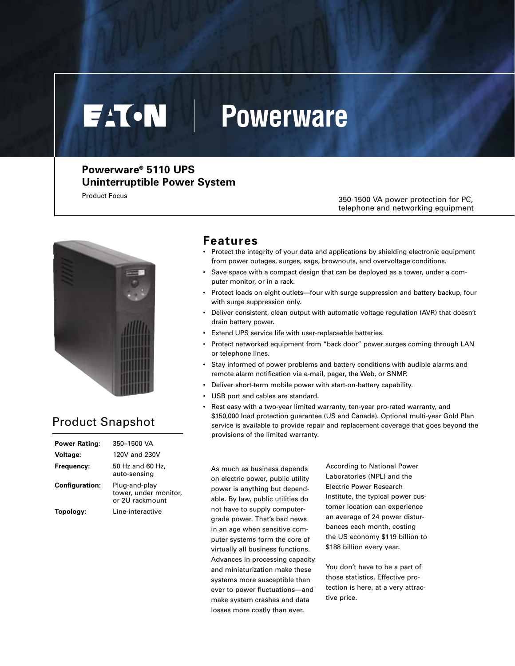# **EATON Powerware**

## **Powerware® 5110 UPS Uninterruptible Power System**

Product Focus

350-1500 VA power protection for PC, telephone and networking equipment



## Product Snapshot

| Power Rating:         | 350-1500 VA                                               |
|-----------------------|-----------------------------------------------------------|
| Voltage:              | 120V and 230V                                             |
| Frequency:            | 50 Hz and 60 Hz.<br>auto-sensing                          |
| <b>Configuration:</b> | Plug-and-play<br>tower, under monitor,<br>or 2U rackmount |
| Topology:             | Line-interactive                                          |

### **Features**

- Protect the integrity of your data and applications by shielding electronic equipment from power outages, surges, sags, brownouts, and overvoltage conditions.
- Save space with a compact design that can be deployed as a tower, under a computer monitor, or in a rack.
- Protect loads on eight outlets—four with surge suppression and battery backup, four with surge suppression only.
- Deliver consistent, clean output with automatic voltage regulation (AVR) that doesn't drain battery power.
- Extend UPS service life with user-replaceable batteries.
- Protect networked equipment from "back door" power surges coming through LAN or telephone lines.
- Stay informed of power problems and battery conditions with audible alarms and remote alarm notification via e-mail, pager, the Web, or SNMP.
- Deliver short-term mobile power with start-on-battery capability.
- USB port and cables are standard.
- Rest easy with a two-year limited warranty, ten-year pro-rated warranty, and \$150,000 load protection guarantee (US and Canada). Optional multi-year Gold Plan service is available to provide repair and replacement coverage that goes beyond the provisions of the limited warranty.

As much as business depends on electric power, public utility power is anything but dependable. By law, public utilities do not have to supply computergrade power. That's bad news in an age when sensitive computer systems form the core of virtually all business functions. Advances in processing capacity and miniaturization make these systems more susceptible than ever to power fluctuations—and make system crashes and data losses more costly than ever.

According to National Power Laboratories (NPL) and the Electric Power Research Institute, the typical power customer location can experience an average of 24 power disturbances each month, costing the US economy \$119 billion to \$188 billion every year.

You don't have to be a part of those statistics. Effective protection is here, at a very attractive price.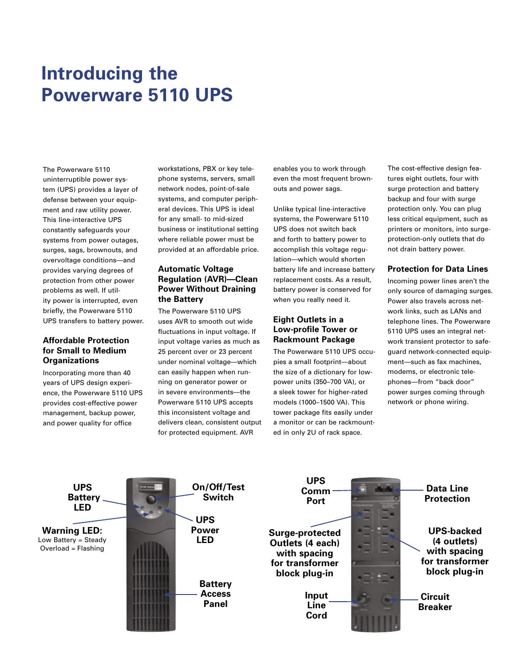# **Introducing the Powerware 5110 UPS**

The Powerware 5110 uninterruptible power system (UPS) provides a layer of defense between your equipment and raw utility power. This line-interactive UPS constantly safeguards your systems from power outages, surges, sags, brownouts, and overvoltage conditions—and provides varying degrees of protection from other power problems as well. If utility power is interrupted, even briefly, the Powerware 5110 UPS transfers to battery power.

#### **Affordable Protection for Small to Medium Organizations**

Incorporating more than 40 years of UPS design experience, the Powerware 5110 UPS provides cost-effective power management, backup power, and power quality for office

workstations, PBX or key telephone systems, servers, small network nodes, point-of-sale systems, and computer peripheral devices. This UPS is ideal for any small- to mid-sized business or institutional setting where reliable power must be provided at an affordable price.

#### **Automatic Voltage Regulation (AVR)—Clean Power Without Draining the Battery**

The Powerware 5110 UPS uses AVR to smooth out wide fluctuations in input voltage. If input voltage varies as much as 25 percent over or 23 percent under nominal voltage—which can easily happen when running on generator power or in severe environments—the Powerware 5110 UPS accepts this inconsistent voltage and delivers clean, consistent output for protected equipment. AVR

enables you to work through even the most frequent brownouts and power sags.

Unlike typical line-interactive systems, the Powerware 5110 UPS does not switch back and forth to battery power to accomplish this voltage regulation—which would shorten battery life and increase battery replacement costs. As a result, battery power is conserved for when you really need it.

#### **Eight Outlets in a Low-profile Tower or Rackmount Package**

The Powerware 5110 UPS occupies a small footprint—about the size of a dictionary for lowpower units (350–700 VA), or a sleek tower for higher-rated models (1000–1500 VA). This tower package fits easily under a monitor or can be rackmounted in only 2U of rack space.

The cost-effective design features eight outlets, four with surge protection and battery backup and four with surge protection only. You can plug less critical equipment, such as printers or monitors, into surgeprotection-only outlets that do not drain battery power.

#### **Protection for Data Lines**

Incoming power lines aren't the only source of damaging surges. Power also travels across network links, such as LANs and telephone lines. The Powerware 5110 UPS uses an integral network transient protector to safeguard network-connected equipment—such as fax machines, modems, or electronic telephones—from "back door" power surges coming through network or phone wiring.

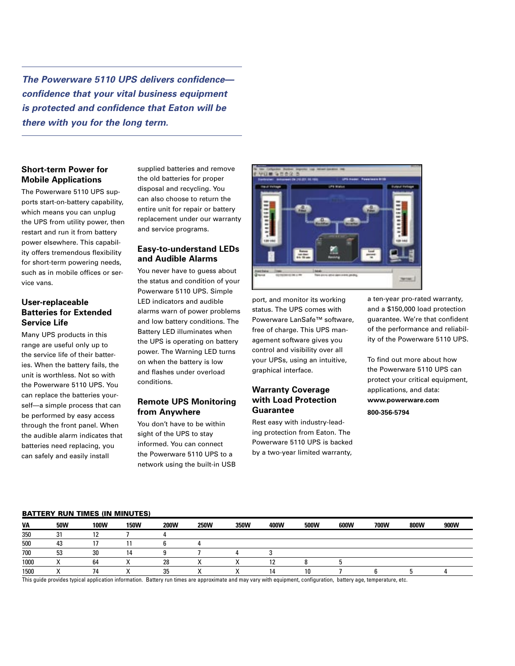**The Powerware 5110 UPS delivers confidence confidence that your vital business equipment is protected and confidence that Eaton will be there with you for the long term.**

#### **Short-term Power for Mobile Applications**

The Powerware 5110 UPS supports start-on-battery capability, which means you can unplug the UPS from utility power, then restart and run it from battery power elsewhere. This capability offers tremendous flexibility for short-term powering needs, such as in mobile offices or service vans.

#### **User-replaceable Batteries for Extended Service Life**

Many UPS products in this range are useful only up to the service life of their batteries. When the battery fails, the unit is worthless. Not so with the Powerware 5110 UPS. You can replace the batteries yourself—a simple process that can be performed by easy access through the front panel. When the audible alarm indicates that batteries need replacing, you can safely and easily install

supplied batteries and remove the old batteries for proper disposal and recycling. You can also choose to return the entire unit for repair or battery replacement under our warranty and service programs.

#### **Easy-to-understand LEDs and Audible Alarms**

You never have to guess about the status and condition of your Powerware 5110 UPS. Simple LED indicators and audible alarms warn of power problems and low battery conditions. The Battery LED illuminates when the UPS is operating on battery power. The Warning LED turns on when the battery is low and flashes under overload conditions.

#### **Remote UPS Monitoring from Anywhere**

You don't have to be within sight of the UPS to stay informed. You can connect the Powerware 5110 UPS to a network using the built-in USB



port, and monitor its working status. The UPS comes with Powerware LanSafe™ software, free of charge. This UPS management software gives you control and visibility over all your UPSs, using an intuitive, graphical interface.

#### **Warranty Coverage with Load Protection Guarantee**

Rest easy with industry-leading protection from Eaton. The Powerware 5110 UPS is backed by a two-year limited warranty,

a ten-year pro-rated warranty, and a \$150,000 load protection guarantee. We're that confident of the performance and reliability of the Powerware 5110 UPS.

To find out more about how the Powerware 5110 UPS can protect your critical equipment, applications, and data: **www.powerware.com 800-356-5794**

#### BATTERY RUN TIMES (IN MINUTES)

| VA   | <b>50W</b> | 100W | <b>150W</b> | <b>200W</b> | <b>250W</b> | 350W | 400W | 500W | 600W | 700W | 800W | 900W |
|------|------------|------|-------------|-------------|-------------|------|------|------|------|------|------|------|
| 350  | 31         | 12   |             |             |             |      |      |      |      |      |      |      |
| 500  | 43         |      |             |             |             |      |      |      |      |      |      |      |
| 700  | 53         | 30   |             |             |             |      |      |      |      |      |      |      |
| 1000 |            | 64   |             | 28          |             |      |      |      |      |      |      |      |
| 1500 |            | 74   |             | 35          |             |      |      | 10   |      |      |      |      |

This guide provides typical application information. Battery run times are approximate and may vary with equipment, configuration, battery age, temperature, etc.